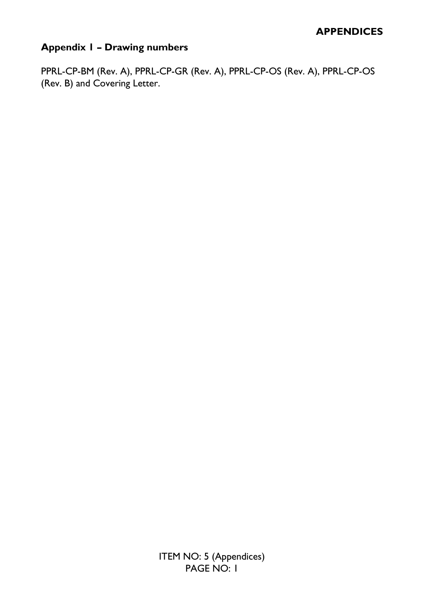# **Appendix 1 – Drawing numbers**

PPRL-CP-BM (Rev. A), PPRL-CP-GR (Rev. A), PPRL-CP-OS (Rev. A), PPRL-CP-OS (Rev. B) and Covering Letter.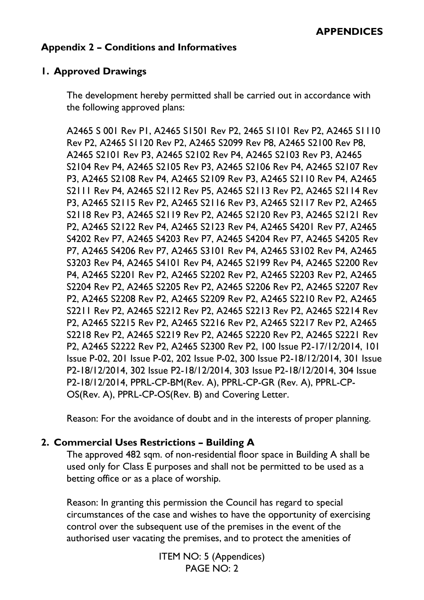# **Appendix 2 – Conditions and Informatives**

# **1. Approved Drawings**

The development hereby permitted shall be carried out in accordance with the following approved plans:

A2465 S 001 Rev P1, A2465 S1501 Rev P2, 2465 S1101 Rev P2, A2465 S1110 Rev P2, A2465 S1120 Rev P2, A2465 S2099 Rev P8, A2465 S2100 Rev P8, A2465 S2101 Rev P3, A2465 S2102 Rev P4, A2465 S2103 Rev P3, A2465 S2104 Rev P4, A2465 S2105 Rev P3, A2465 S2106 Rev P4, A2465 S2107 Rev P3, A2465 S2108 Rev P4, A2465 S2109 Rev P3, A2465 S2110 Rev P4, A2465 S2111 Rev P4, A2465 S2112 Rev P5, A2465 S2113 Rev P2, A2465 S2114 Rev P3, A2465 S2115 Rev P2, A2465 S2116 Rev P3, A2465 S2117 Rev P2, A2465 S2118 Rev P3, A2465 S2119 Rev P2, A2465 S2120 Rev P3, A2465 S2121 Rev P2, A2465 S2122 Rev P4, A2465 S2123 Rev P4, A2465 S4201 Rev P7, A2465 S4202 Rev P7, A2465 S4203 Rev P7, A2465 S4204 Rev P7, A2465 S4205 Rev P7, A2465 S4206 Rev P7, A2465 S3101 Rev P4, A2465 S3102 Rev P4, A2465 S3203 Rev P4, A2465 S4101 Rev P4, A2465 S2199 Rev P4, A2465 S2200 Rev P4, A2465 S2201 Rev P2, A2465 S2202 Rev P2, A2465 S2203 Rev P2, A2465 S2204 Rev P2, A2465 S2205 Rev P2, A2465 S2206 Rev P2, A2465 S2207 Rev P2, A2465 S2208 Rev P2, A2465 S2209 Rev P2, A2465 S2210 Rev P2, A2465 S2211 Rev P2, A2465 S2212 Rev P2, A2465 S2213 Rev P2, A2465 S2214 Rev P2, A2465 S2215 Rev P2, A2465 S2216 Rev P2, A2465 S2217 Rev P2, A2465 S2218 Rev P2, A2465 S2219 Rev P2, A2465 S2220 Rev P2, A2465 S2221 Rev P2, A2465 S2222 Rev P2, A2465 S2300 Rev P2, 100 Issue P2-17/12/2014, 101 Issue P-02, 201 Issue P-02, 202 Issue P-02, 300 Issue P2-18/12/2014, 301 Issue P2-18/12/2014, 302 Issue P2-18/12/2014, 303 Issue P2-18/12/2014, 304 Issue P2-18/12/2014, PPRL-CP-BM(Rev. A), PPRL-CP-GR (Rev. A), PPRL-CP-OS(Rev. A), PPRL-CP-OS(Rev. B) and Covering Letter.

Reason: For the avoidance of doubt and in the interests of proper planning.

#### **2. Commercial Uses Restrictions – Building A**

The approved 482 sqm. of non-residential floor space in Building A shall be used only for Class E purposes and shall not be permitted to be used as a betting office or as a place of worship.

Reason: In granting this permission the Council has regard to special circumstances of the case and wishes to have the opportunity of exercising control over the subsequent use of the premises in the event of the authorised user vacating the premises, and to protect the amenities of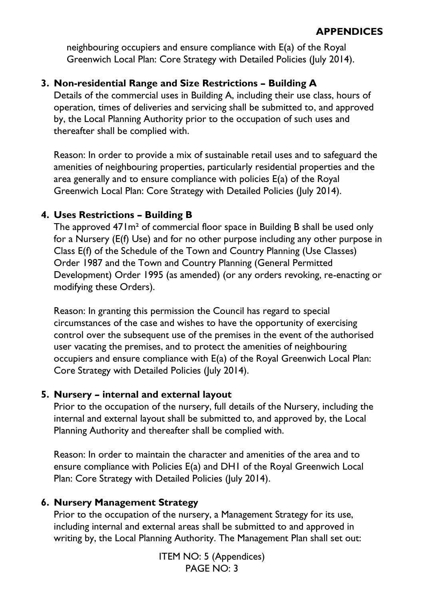neighbouring occupiers and ensure compliance with E(a) of the Royal Greenwich Local Plan: Core Strategy with Detailed Policies (July 2014).

# **3. Non-residential Range and Size Restrictions – Building A**

Details of the commercial uses in Building A, including their use class, hours of operation, times of deliveries and servicing shall be submitted to, and approved by, the Local Planning Authority prior to the occupation of such uses and thereafter shall be complied with.

Reason: In order to provide a mix of sustainable retail uses and to safeguard the amenities of neighbouring properties, particularly residential properties and the area generally and to ensure compliance with policies E(a) of the Royal Greenwich Local Plan: Core Strategy with Detailed Policies (July 2014).

# **4. Uses Restrictions – Building B**

The approved 471m² of commercial floor space in Building B shall be used only for a Nursery (E(f) Use) and for no other purpose including any other purpose in Class E(f) of the Schedule of the Town and Country Planning (Use Classes) Order 1987 and the Town and Country Planning (General Permitted Development) Order 1995 (as amended) (or any orders revoking, re-enacting or modifying these Orders).

Reason: In granting this permission the Council has regard to special circumstances of the case and wishes to have the opportunity of exercising control over the subsequent use of the premises in the event of the authorised user vacating the premises, and to protect the amenities of neighbouring occupiers and ensure compliance with E(a) of the Royal Greenwich Local Plan: Core Strategy with Detailed Policies (July 2014).

# **5. Nursery – internal and external layout**

Prior to the occupation of the nursery, full details of the Nursery, including the internal and external layout shall be submitted to, and approved by, the Local Planning Authority and thereafter shall be complied with.

Reason: In order to maintain the character and amenities of the area and to ensure compliance with Policies E(a) and DH1 of the Royal Greenwich Local Plan: Core Strategy with Detailed Policies (July 2014).

# **6. Nursery Management Strategy**

Prior to the occupation of the nursery, a Management Strategy for its use, including internal and external areas shall be submitted to and approved in writing by, the Local Planning Authority. The Management Plan shall set out: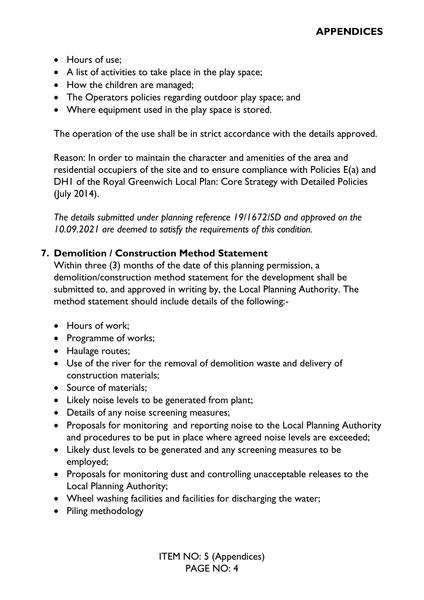- Hours of use;
- A list of activities to take place in the play space;
- How the children are managed;
- The Operators policies regarding outdoor play space; and
- Where equipment used in the play space is stored.

The operation of the use shall be in strict accordance with the details approved.

Reason: In order to maintain the character and amenities of the area and residential occupiers of the site and to ensure compliance with Policies E(a) and DH1 of the Royal Greenwich Local Plan: Core Strategy with Detailed Policies (July 2014).

*The details submitted under planning reference 19/1672/SD and approved on the 10.09.2021 are deemed to satisfy the requirements of this condition.* 

# **7. Demolition / Construction Method Statement**

Within three (3) months of the date of this planning permission, a demolition/construction method statement for the development shall be submitted to, and approved in writing by, the Local Planning Authority. The method statement should include details of the following:-

- Hours of work;
- Programme of works;
- Haulage routes;
- Use of the river for the removal of demolition waste and delivery of construction materials;
- Source of materials:
- Likely noise levels to be generated from plant;
- Details of any noise screening measures;
- Proposals for monitoring and reporting noise to the Local Planning Authority and procedures to be put in place where agreed noise levels are exceeded;
- Likely dust levels to be generated and any screening measures to be employed;
- Proposals for monitoring dust and controlling unacceptable releases to the Local Planning Authority;
- Wheel washing facilities and facilities for discharging the water;
- Piling methodology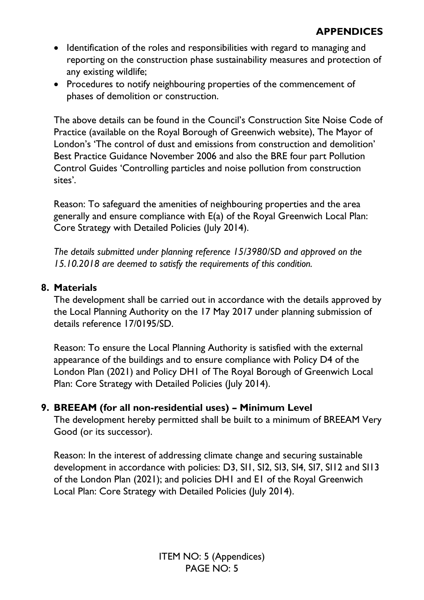- Identification of the roles and responsibilities with regard to managing and reporting on the construction phase sustainability measures and protection of any existing wildlife;
- Procedures to notify neighbouring properties of the commencement of phases of demolition or construction.

The above details can be found in the Council's Construction Site Noise Code of Practice (available on the Royal Borough of Greenwich website), The Mayor of London's 'The control of dust and emissions from construction and demolition' Best Practice Guidance November 2006 and also the BRE four part Pollution Control Guides 'Controlling particles and noise pollution from construction sites'.

Reason: To safeguard the amenities of neighbouring properties and the area generally and ensure compliance with E(a) of the Royal Greenwich Local Plan: Core Strategy with Detailed Policies (July 2014).

*The details submitted under planning reference 15/3980/SD and approved on the 15.10.2018 are deemed to satisfy the requirements of this condition.* 

#### **8. Materials**

The development shall be carried out in accordance with the details approved by the Local Planning Authority on the 17 May 2017 under planning submission of details reference 17/0195/SD.

Reason: To ensure the Local Planning Authority is satisfied with the external appearance of the buildings and to ensure compliance with Policy D4 of the London Plan (2021) and Policy DH1 of The Royal Borough of Greenwich Local Plan: Core Strategy with Detailed Policies (July 2014).

#### **9. BREEAM (for all non-residential uses) – Minimum Level**

The development hereby permitted shall be built to a minimum of BREEAM Very Good (or its successor).

Reason: In the interest of addressing climate change and securing sustainable development in accordance with policies: D3, SI1, SI2, SI3, SI4, SI7, SI12 and SI13 of the London Plan (2021); and policies DH1 and E1 of the Royal Greenwich Local Plan: Core Strategy with Detailed Policies (July 2014).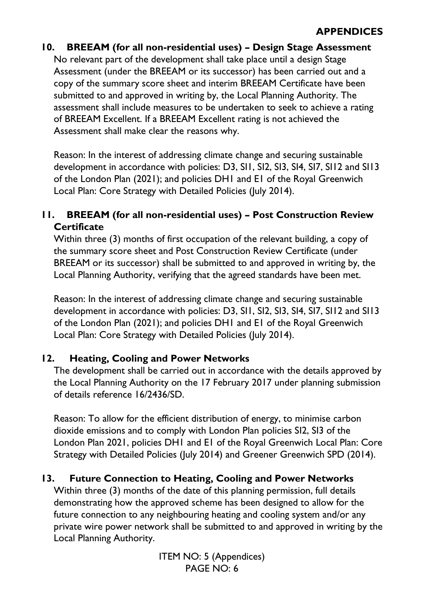# **10. BREEAM (for all non-residential uses) – Design Stage Assessment**

No relevant part of the development shall take place until a design Stage Assessment (under the BREEAM or its successor) has been carried out and a copy of the summary score sheet and interim BREEAM Certificate have been submitted to and approved in writing by, the Local Planning Authority. The assessment shall include measures to be undertaken to seek to achieve a rating of BREEAM Excellent. If a BREEAM Excellent rating is not achieved the Assessment shall make clear the reasons why.

Reason: In the interest of addressing climate change and securing sustainable development in accordance with policies: D3, SI1, SI2, SI3, SI4, SI7, SI12 and SI13 of the London Plan (2021); and policies DH1 and E1 of the Royal Greenwich Local Plan: Core Strategy with Detailed Policies (July 2014).

# **11. BREEAM (for all non-residential uses) – Post Construction Review Certificate**

Within three (3) months of first occupation of the relevant building, a copy of the summary score sheet and Post Construction Review Certificate (under BREEAM or its successor) shall be submitted to and approved in writing by, the Local Planning Authority, verifying that the agreed standards have been met.

Reason: In the interest of addressing climate change and securing sustainable development in accordance with policies: D3, SI1, SI2, SI3, SI4, SI7, SI12 and SI13 of the London Plan (2021); and policies DH1 and E1 of the Royal Greenwich Local Plan: Core Strategy with Detailed Policies (July 2014).

#### **12. Heating, Cooling and Power Networks**

The development shall be carried out in accordance with the details approved by the Local Planning Authority on the 17 February 2017 under planning submission of details reference 16/2436/SD.

Reason: To allow for the efficient distribution of energy, to minimise carbon dioxide emissions and to comply with London Plan policies SI2, SI3 of the London Plan 2021, policies DH1 and E1 of the Royal Greenwich Local Plan: Core Strategy with Detailed Policies (July 2014) and Greener Greenwich SPD (2014).

# **13. Future Connection to Heating, Cooling and Power Networks**

Within three (3) months of the date of this planning permission, full details demonstrating how the approved scheme has been designed to allow for the future connection to any neighbouring heating and cooling system and/or any private wire power network shall be submitted to and approved in writing by the Local Planning Authority.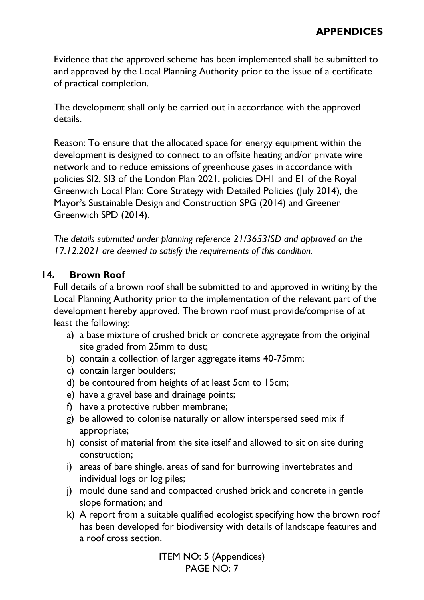Evidence that the approved scheme has been implemented shall be submitted to and approved by the Local Planning Authority prior to the issue of a certificate of practical completion.

The development shall only be carried out in accordance with the approved details.

Reason: To ensure that the allocated space for energy equipment within the development is designed to connect to an offsite heating and/or private wire network and to reduce emissions of greenhouse gases in accordance with policies SI2, SI3 of the London Plan 2021, policies DH1 and E1 of the Royal Greenwich Local Plan: Core Strategy with Detailed Policies (July 2014), the Mayor's Sustainable Design and Construction SPG (2014) and Greener Greenwich SPD (2014).

*The details submitted under planning reference 21/3653/SD and approved on the 17.12.2021 are deemed to satisfy the requirements of this condition.* 

# **14. Brown Roof**

Full details of a brown roof shall be submitted to and approved in writing by the Local Planning Authority prior to the implementation of the relevant part of the development hereby approved. The brown roof must provide/comprise of at least the following:

- a) a base mixture of crushed brick or concrete aggregate from the original site graded from 25mm to dust;
- b) contain a collection of larger aggregate items 40-75mm;
- c) contain larger boulders;
- d) be contoured from heights of at least 5cm to 15cm;
- e) have a gravel base and drainage points;
- f) have a protective rubber membrane;
- g) be allowed to colonise naturally or allow interspersed seed mix if appropriate;
- h) consist of material from the site itself and allowed to sit on site during construction;
- i) areas of bare shingle, areas of sand for burrowing invertebrates and individual logs or log piles;
- j) mould dune sand and compacted crushed brick and concrete in gentle slope formation; and
- k) A report from a suitable qualified ecologist specifying how the brown roof has been developed for biodiversity with details of landscape features and a roof cross section.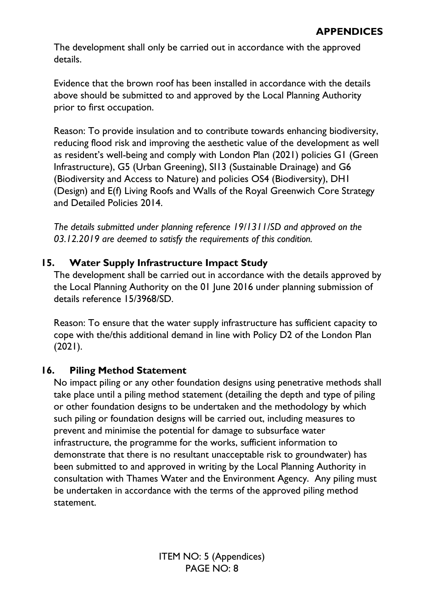The development shall only be carried out in accordance with the approved details.

Evidence that the brown roof has been installed in accordance with the details above should be submitted to and approved by the Local Planning Authority prior to first occupation.

Reason: To provide insulation and to contribute towards enhancing biodiversity, reducing flood risk and improving the aesthetic value of the development as well as resident's well-being and comply with London Plan (2021) policies G1 (Green Infrastructure), G5 (Urban Greening), SI13 (Sustainable Drainage) and G6 (Biodiversity and Access to Nature) and policies OS4 (Biodiversity), DH1 (Design) and E(f) Living Roofs and Walls of the Royal Greenwich Core Strategy and Detailed Policies 2014.

*The details submitted under planning reference 19/1311/SD and approved on the 03.12.2019 are deemed to satisfy the requirements of this condition.* 

# **15. Water Supply Infrastructure Impact Study**

The development shall be carried out in accordance with the details approved by the Local Planning Authority on the 01 June 2016 under planning submission of details reference 15/3968/SD.

Reason: To ensure that the water supply infrastructure has sufficient capacity to cope with the/this additional demand in line with Policy D2 of the London Plan (2021).

# **16. Piling Method Statement**

No impact piling or any other foundation designs using penetrative methods shall take place until a piling method statement (detailing the depth and type of piling or other foundation designs to be undertaken and the methodology by which such piling or foundation designs will be carried out, including measures to prevent and minimise the potential for damage to subsurface water infrastructure, the programme for the works, sufficient information to demonstrate that there is no resultant unacceptable risk to groundwater) has been submitted to and approved in writing by the Local Planning Authority in consultation with Thames Water and the Environment Agency. Any piling must be undertaken in accordance with the terms of the approved piling method statement.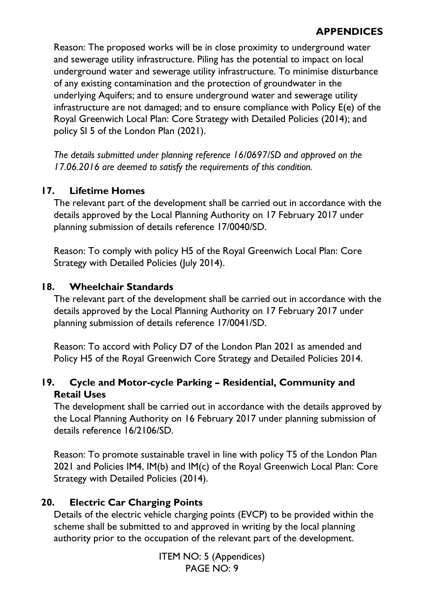Reason: The proposed works will be in close proximity to underground water and sewerage utility infrastructure. Piling has the potential to impact on local underground water and sewerage utility infrastructure. To minimise disturbance of any existing contamination and the protection of groundwater in the underlying Aquifers; and to ensure underground water and sewerage utility infrastructure are not damaged; and to ensure compliance with Policy E(e) of the Royal Greenwich Local Plan: Core Strategy with Detailed Policies (2014); and policy SI 5 of the London Plan (2021).

*The details submitted under planning reference 16/0697/SD and approved on the 17.06.2016 are deemed to satisfy the requirements of this condition.* 

# **17. Lifetime Homes**

The relevant part of the development shall be carried out in accordance with the details approved by the Local Planning Authority on 17 February 2017 under planning submission of details reference 17/0040/SD.

Reason: To comply with policy H5 of the Royal Greenwich Local Plan: Core Strategy with Detailed Policies (July 2014).

# **18. Wheelchair Standards**

The relevant part of the development shall be carried out in accordance with the details approved by the Local Planning Authority on 17 February 2017 under planning submission of details reference 17/0041/SD.

Reason: To accord with Policy D7 of the London Plan 2021 as amended and Policy H5 of the Royal Greenwich Core Strategy and Detailed Policies 2014.

# **19. Cycle and Motor-cycle Parking – Residential, Community and Retail Uses**

The development shall be carried out in accordance with the details approved by the Local Planning Authority on 16 February 2017 under planning submission of details reference 16/2106/SD.

Reason: To promote sustainable travel in line with policy T5 of the London Plan 2021 and Policies IM4, IM(b) and IM(c) of the Royal Greenwich Local Plan: Core Strategy with Detailed Policies (2014).

# **20. Electric Car Charging Points**

Details of the electric vehicle charging points (EVCP) to be provided within the scheme shall be submitted to and approved in writing by the local planning authority prior to the occupation of the relevant part of the development.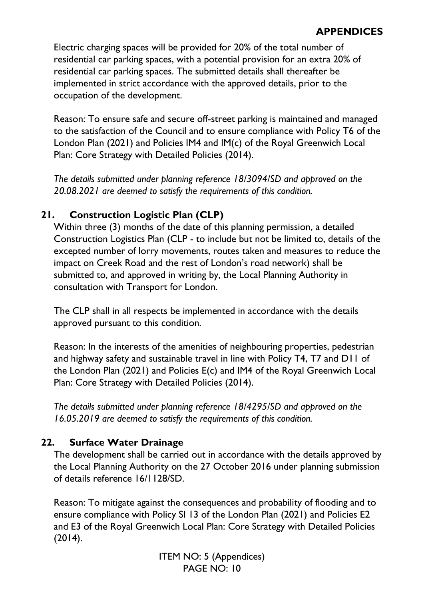Electric charging spaces will be provided for 20% of the total number of residential car parking spaces, with a potential provision for an extra 20% of residential car parking spaces. The submitted details shall thereafter be implemented in strict accordance with the approved details, prior to the occupation of the development.

Reason: To ensure safe and secure off-street parking is maintained and managed to the satisfaction of the Council and to ensure compliance with Policy T6 of the London Plan (2021) and Policies IM4 and IM(c) of the Royal Greenwich Local Plan: Core Strategy with Detailed Policies (2014).

*The details submitted under planning reference 18/3094/SD and approved on the 20.08.2021 are deemed to satisfy the requirements of this condition.* 

# **21. Construction Logistic Plan (CLP)**

Within three (3) months of the date of this planning permission, a detailed Construction Logistics Plan (CLP - to include but not be limited to, details of the excepted number of lorry movements, routes taken and measures to reduce the impact on Creek Road and the rest of London's road network) shall be submitted to, and approved in writing by, the Local Planning Authority in consultation with Transport for London.

The CLP shall in all respects be implemented in accordance with the details approved pursuant to this condition.

Reason: In the interests of the amenities of neighbouring properties, pedestrian and highway safety and sustainable travel in line with Policy T4, T7 and D11 of the London Plan (2021) and Policies E(c) and IM4 of the Royal Greenwich Local Plan: Core Strategy with Detailed Policies (2014).

*The details submitted under planning reference 18/4295/SD and approved on the 16.05.2019 are deemed to satisfy the requirements of this condition.* 

# **22. Surface Water Drainage**

The development shall be carried out in accordance with the details approved by the Local Planning Authority on the 27 October 2016 under planning submission of details reference 16/1128/SD.

Reason: To mitigate against the consequences and probability of flooding and to ensure compliance with Policy SI 13 of the London Plan (2021) and Policies E2 and E3 of the Royal Greenwich Local Plan: Core Strategy with Detailed Policies  $(2014).$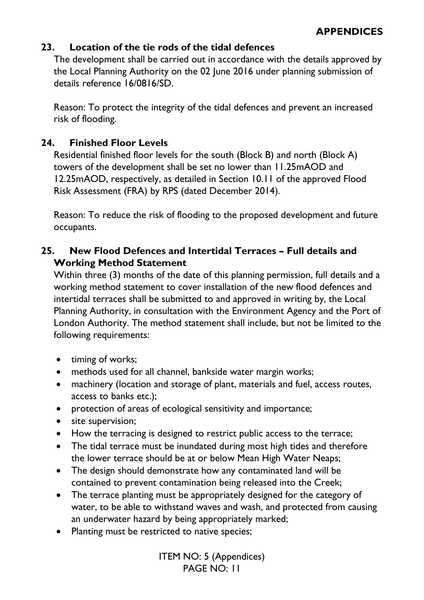# **23. Location of the tie rods of the tidal defences**

The development shall be carried out in accordance with the details approved by the Local Planning Authority on the 02 June 2016 under planning submission of details reference 16/0816/SD.

Reason: To protect the integrity of the tidal defences and prevent an increased risk of flooding.

# **24. Finished Floor Levels**

Residential finished floor levels for the south (Block B) and north (Block A) towers of the development shall be set no lower than 11.25mAOD and 12.25mAOD, respectively, as detailed in Section 10.11 of the approved Flood Risk Assessment (FRA) by RPS (dated December 2014).

Reason: To reduce the risk of flooding to the proposed development and future occupants.

# **25. New Flood Defences and Intertidal Terraces – Full details and Working Method Statement**

Within three (3) months of the date of this planning permission, full details and a working method statement to cover installation of the new flood defences and intertidal terraces shall be submitted to and approved in writing by, the Local Planning Authority, in consultation with the Environment Agency and the Port of London Authority. The method statement shall include, but not be limited to the following requirements:

- timing of works;
- methods used for all channel, bankside water margin works;
- machinery (location and storage of plant, materials and fuel, access routes, access to banks etc.);
- protection of areas of ecological sensitivity and importance;
- site supervision;
- How the terracing is designed to restrict public access to the terrace;
- The tidal terrace must be inundated during most high tides and therefore the lower terrace should be at or below Mean High Water Neaps;
- The design should demonstrate how any contaminated land will be contained to prevent contamination being released into the Creek;
- The terrace planting must be appropriately designed for the category of water, to be able to withstand waves and wash, and protected from causing an underwater hazard by being appropriately marked;
- Planting must be restricted to native species;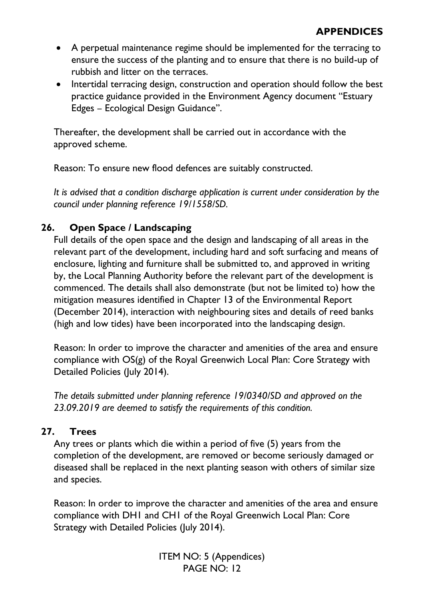- A perpetual maintenance regime should be implemented for the terracing to ensure the success of the planting and to ensure that there is no build-up of rubbish and litter on the terraces.
- Intertidal terracing design, construction and operation should follow the best practice guidance provided in the Environment Agency document "Estuary Edges – Ecological Design Guidance".

Thereafter, the development shall be carried out in accordance with the approved scheme.

Reason: To ensure new flood defences are suitably constructed.

*It is advised that a condition discharge application is current under consideration by the council under planning reference 19/1558/SD.* 

# **26. Open Space / Landscaping**

Full details of the open space and the design and landscaping of all areas in the relevant part of the development, including hard and soft surfacing and means of enclosure, lighting and furniture shall be submitted to, and approved in writing by, the Local Planning Authority before the relevant part of the development is commenced. The details shall also demonstrate (but not be limited to) how the mitigation measures identified in Chapter 13 of the Environmental Report (December 2014), interaction with neighbouring sites and details of reed banks (high and low tides) have been incorporated into the landscaping design.

Reason: In order to improve the character and amenities of the area and ensure compliance with OS(g) of the Royal Greenwich Local Plan: Core Strategy with Detailed Policies (July 2014).

*The details submitted under planning reference 19/0340/SD and approved on the 23.09.2019 are deemed to satisfy the requirements of this condition.* 

# **27. Trees**

Any trees or plants which die within a period of five (5) years from the completion of the development, are removed or become seriously damaged or diseased shall be replaced in the next planting season with others of similar size and species.

Reason: In order to improve the character and amenities of the area and ensure compliance with DH1 and CH1 of the Royal Greenwich Local Plan: Core Strategy with Detailed Policies (July 2014).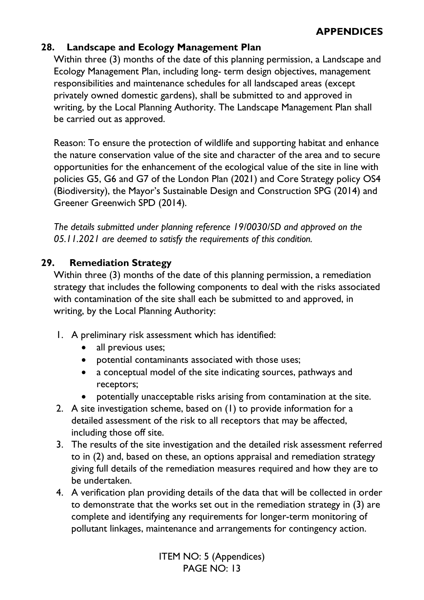# **28. Landscape and Ecology Management Plan**

Within three (3) months of the date of this planning permission, a Landscape and Ecology Management Plan, including long- term design objectives, management responsibilities and maintenance schedules for all landscaped areas (except privately owned domestic gardens), shall be submitted to and approved in writing, by the Local Planning Authority. The Landscape Management Plan shall be carried out as approved.

Reason: To ensure the protection of wildlife and supporting habitat and enhance the nature conservation value of the site and character of the area and to secure opportunities for the enhancement of the ecological value of the site in line with policies G5, G6 and G7 of the London Plan (2021) and Core Strategy policy OS4 (Biodiversity), the Mayor's Sustainable Design and Construction SPG (2014) and Greener Greenwich SPD (2014).

*The details submitted under planning reference 19/0030/SD and approved on the 05.11.2021 are deemed to satisfy the requirements of this condition.* 

# **29. Remediation Strategy**

Within three (3) months of the date of this planning permission, a remediation strategy that includes the following components to deal with the risks associated with contamination of the site shall each be submitted to and approved, in writing, by the Local Planning Authority:

- 1. A preliminary risk assessment which has identified:
	- all previous uses;
	- potential contaminants associated with those uses;
	- a conceptual model of the site indicating sources, pathways and receptors;
	- potentially unacceptable risks arising from contamination at the site.
- 2. A site investigation scheme, based on (1) to provide information for a detailed assessment of the risk to all receptors that may be affected, including those off site.
- 3. The results of the site investigation and the detailed risk assessment referred to in (2) and, based on these, an options appraisal and remediation strategy giving full details of the remediation measures required and how they are to be undertaken.
- 4. A verification plan providing details of the data that will be collected in order to demonstrate that the works set out in the remediation strategy in (3) are complete and identifying any requirements for longer-term monitoring of pollutant linkages, maintenance and arrangements for contingency action.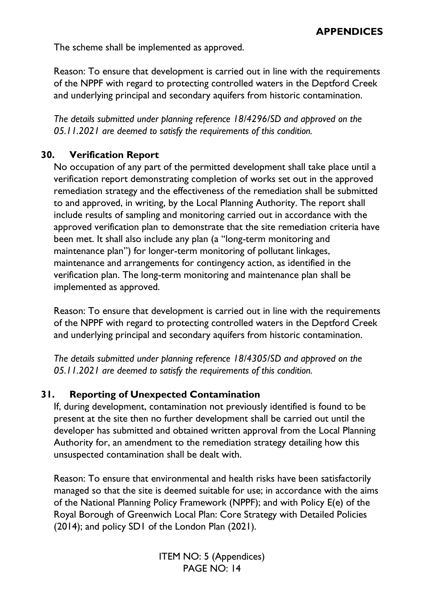The scheme shall be implemented as approved.

Reason: To ensure that development is carried out in line with the requirements of the NPPF with regard to protecting controlled waters in the Deptford Creek and underlying principal and secondary aquifers from historic contamination.

*The details submitted under planning reference 18/4296/SD and approved on the 05.11.2021 are deemed to satisfy the requirements of this condition.* 

# **30. Verification Report**

No occupation of any part of the permitted development shall take place until a verification report demonstrating completion of works set out in the approved remediation strategy and the effectiveness of the remediation shall be submitted to and approved, in writing, by the Local Planning Authority. The report shall include results of sampling and monitoring carried out in accordance with the approved verification plan to demonstrate that the site remediation criteria have been met. It shall also include any plan (a "long-term monitoring and maintenance plan") for longer-term monitoring of pollutant linkages, maintenance and arrangements for contingency action, as identified in the verification plan. The long-term monitoring and maintenance plan shall be implemented as approved.

Reason: To ensure that development is carried out in line with the requirements of the NPPF with regard to protecting controlled waters in the Deptford Creek and underlying principal and secondary aquifers from historic contamination.

*The details submitted under planning reference 18/4305/SD and approved on the 05.11.2021 are deemed to satisfy the requirements of this condition.* 

# **31. Reporting of Unexpected Contamination**

If, during development, contamination not previously identified is found to be present at the site then no further development shall be carried out until the developer has submitted and obtained written approval from the Local Planning Authority for, an amendment to the remediation strategy detailing how this unsuspected contamination shall be dealt with.

Reason: To ensure that environmental and health risks have been satisfactorily managed so that the site is deemed suitable for use; in accordance with the aims of the National Planning Policy Framework (NPPF); and with Policy E(e) of the Royal Borough of Greenwich Local Plan: Core Strategy with Detailed Policies (2014); and policy SD1 of the London Plan (2021).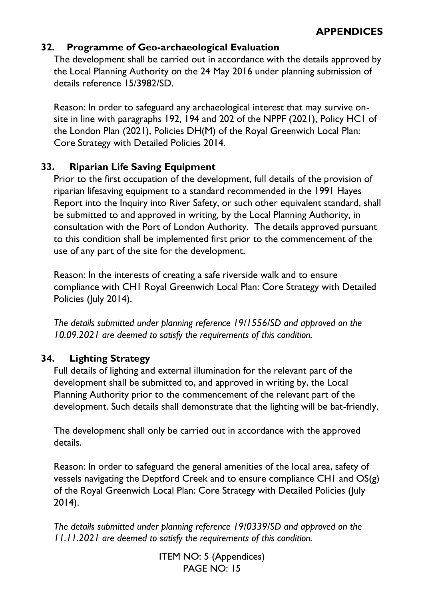# **32. Programme of Geo-archaeological Evaluation**

The development shall be carried out in accordance with the details approved by the Local Planning Authority on the 24 May 2016 under planning submission of details reference 15/3982/SD.

Reason: In order to safeguard any archaeological interest that may survive onsite in line with paragraphs 192, 194 and 202 of the NPPF (2021), Policy HC1 of the London Plan (2021), Policies DH(M) of the Royal Greenwich Local Plan: Core Strategy with Detailed Policies 2014.

# **33. Riparian Life Saving Equipment**

Prior to the first occupation of the development, full details of the provision of riparian lifesaving equipment to a standard recommended in the 1991 Hayes Report into the Inquiry into River Safety, or such other equivalent standard, shall be submitted to and approved in writing, by the Local Planning Authority, in consultation with the Port of London Authority. The details approved pursuant to this condition shall be implemented first prior to the commencement of the use of any part of the site for the development.

Reason: In the interests of creating a safe riverside walk and to ensure compliance with CH1 Royal Greenwich Local Plan: Core Strategy with Detailed Policies (July 2014).

*The details submitted under planning reference 19/1556/SD and approved on the 10.09.2021 are deemed to satisfy the requirements of this condition.* 

# **34. Lighting Strategy**

Full details of lighting and external illumination for the relevant part of the development shall be submitted to, and approved in writing by, the Local Planning Authority prior to the commencement of the relevant part of the development. Such details shall demonstrate that the lighting will be bat-friendly.

The development shall only be carried out in accordance with the approved details.

Reason: In order to safeguard the general amenities of the local area, safety of vessels navigating the Deptford Creek and to ensure compliance CH1 and OS(g) of the Royal Greenwich Local Plan: Core Strategy with Detailed Policies (July 2014).

*The details submitted under planning reference 19/0339/SD and approved on the 11.11.2021 are deemed to satisfy the requirements of this condition.*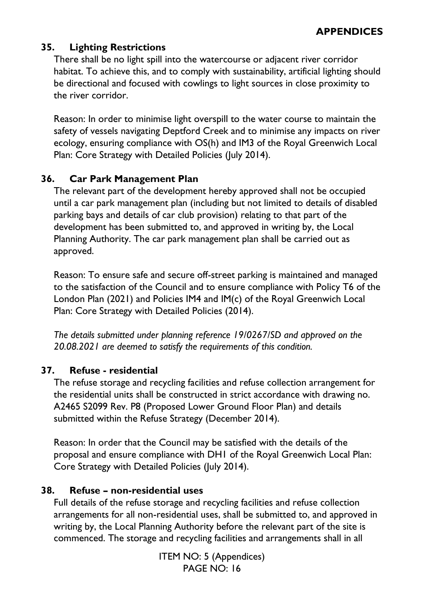# **35. Lighting Restrictions**

There shall be no light spill into the watercourse or adjacent river corridor habitat. To achieve this, and to comply with sustainability, artificial lighting should be directional and focused with cowlings to light sources in close proximity to the river corridor.

Reason: In order to minimise light overspill to the water course to maintain the safety of vessels navigating Deptford Creek and to minimise any impacts on river ecology, ensuring compliance with OS(h) and IM3 of the Royal Greenwich Local Plan: Core Strategy with Detailed Policies (July 2014).

# **36. Car Park Management Plan**

The relevant part of the development hereby approved shall not be occupied until a car park management plan (including but not limited to details of disabled parking bays and details of car club provision) relating to that part of the development has been submitted to, and approved in writing by, the Local Planning Authority. The car park management plan shall be carried out as approved.

Reason: To ensure safe and secure off-street parking is maintained and managed to the satisfaction of the Council and to ensure compliance with Policy T6 of the London Plan (2021) and Policies IM4 and IM(c) of the Royal Greenwich Local Plan: Core Strategy with Detailed Policies (2014).

*The details submitted under planning reference 19/0267/SD and approved on the 20.08.2021 are deemed to satisfy the requirements of this condition.* 

# **37. Refuse - residential**

The refuse storage and recycling facilities and refuse collection arrangement for the residential units shall be constructed in strict accordance with drawing no. A2465 S2099 Rev. P8 (Proposed Lower Ground Floor Plan) and details submitted within the Refuse Strategy (December 2014).

Reason: In order that the Council may be satisfied with the details of the proposal and ensure compliance with DH1 of the Royal Greenwich Local Plan: Core Strategy with Detailed Policies (July 2014).

# **38. Refuse – non-residential uses**

Full details of the refuse storage and recycling facilities and refuse collection arrangements for all non-residential uses, shall be submitted to, and approved in writing by, the Local Planning Authority before the relevant part of the site is commenced. The storage and recycling facilities and arrangements shall in all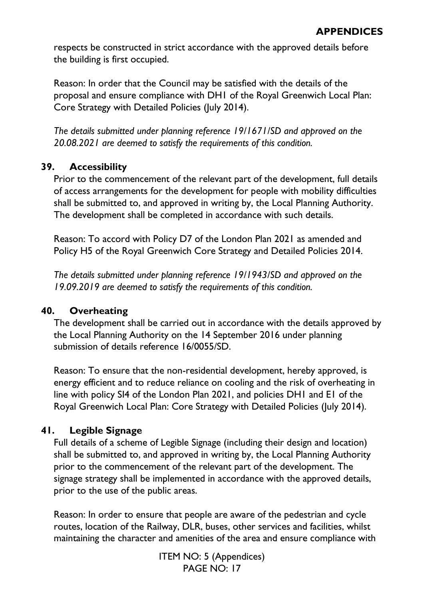respects be constructed in strict accordance with the approved details before the building is first occupied.

Reason: In order that the Council may be satisfied with the details of the proposal and ensure compliance with DH1 of the Royal Greenwich Local Plan: Core Strategy with Detailed Policies (July 2014).

*The details submitted under planning reference 19/1671/SD and approved on the 20.08.2021 are deemed to satisfy the requirements of this condition.* 

# **39. Accessibility**

Prior to the commencement of the relevant part of the development, full details of access arrangements for the development for people with mobility difficulties shall be submitted to, and approved in writing by, the Local Planning Authority. The development shall be completed in accordance with such details.

Reason: To accord with Policy D7 of the London Plan 2021 as amended and Policy H5 of the Royal Greenwich Core Strategy and Detailed Policies 2014.

*The details submitted under planning reference 19/1943/SD and approved on the 19.09.2019 are deemed to satisfy the requirements of this condition.* 

# **40. Overheating**

The development shall be carried out in accordance with the details approved by the Local Planning Authority on the 14 September 2016 under planning submission of details reference 16/0055/SD.

Reason: To ensure that the non-residential development, hereby approved, is energy efficient and to reduce reliance on cooling and the risk of overheating in line with policy SI4 of the London Plan 2021, and policies DH1 and E1 of the Royal Greenwich Local Plan: Core Strategy with Detailed Policies (July 2014).

# **41. Legible Signage**

Full details of a scheme of Legible Signage (including their design and location) shall be submitted to, and approved in writing by, the Local Planning Authority prior to the commencement of the relevant part of the development. The signage strategy shall be implemented in accordance with the approved details, prior to the use of the public areas.

Reason: In order to ensure that people are aware of the pedestrian and cycle routes, location of the Railway, DLR, buses, other services and facilities, whilst maintaining the character and amenities of the area and ensure compliance with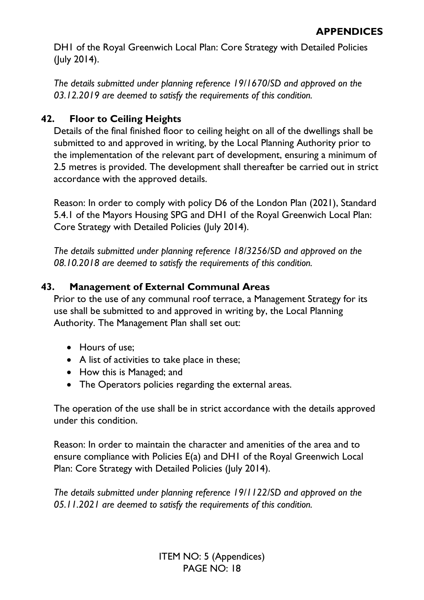DH1 of the Royal Greenwich Local Plan: Core Strategy with Detailed Policies (July 2014).

*The details submitted under planning reference 19/1670/SD and approved on the 03.12.2019 are deemed to satisfy the requirements of this condition.* 

# **42. Floor to Ceiling Heights**

Details of the final finished floor to ceiling height on all of the dwellings shall be submitted to and approved in writing, by the Local Planning Authority prior to the implementation of the relevant part of development, ensuring a minimum of 2.5 metres is provided. The development shall thereafter be carried out in strict accordance with the approved details.

Reason: In order to comply with policy D6 of the London Plan (2021), Standard 5.4.1 of the Mayors Housing SPG and DH1 of the Royal Greenwich Local Plan: Core Strategy with Detailed Policies (July 2014).

*The details submitted under planning reference 18/3256/SD and approved on the 08.10.2018 are deemed to satisfy the requirements of this condition.* 

# **43. Management of External Communal Areas**

Prior to the use of any communal roof terrace, a Management Strategy for its use shall be submitted to and approved in writing by, the Local Planning Authority. The Management Plan shall set out:

- Hours of use;
- A list of activities to take place in these;
- How this is Managed; and
- The Operators policies regarding the external areas.

The operation of the use shall be in strict accordance with the details approved under this condition.

Reason: In order to maintain the character and amenities of the area and to ensure compliance with Policies E(a) and DH1 of the Royal Greenwich Local Plan: Core Strategy with Detailed Policies (July 2014).

*The details submitted under planning reference 19/1122/SD and approved on the 05.11.2021 are deemed to satisfy the requirements of this condition.*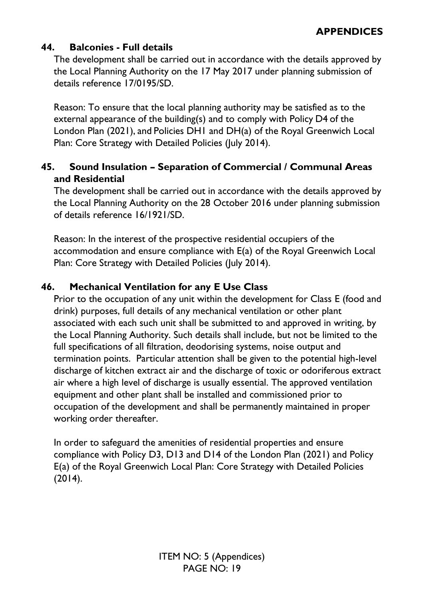# **44. Balconies - Full details**

The development shall be carried out in accordance with the details approved by the Local Planning Authority on the 17 May 2017 under planning submission of details reference 17/0195/SD.

Reason: To ensure that the local planning authority may be satisfied as to the external appearance of the building(s) and to comply with Policy D4 of the London Plan (2021), and Policies DH1 and DH(a) of the Royal Greenwich Local Plan: Core Strategy with Detailed Policies (July 2014).

# **45. Sound Insulation – Separation of Commercial / Communal Areas and Residential**

The development shall be carried out in accordance with the details approved by the Local Planning Authority on the 28 October 2016 under planning submission of details reference 16/1921/SD.

Reason: In the interest of the prospective residential occupiers of the accommodation and ensure compliance with E(a) of the Royal Greenwich Local Plan: Core Strategy with Detailed Policies (July 2014).

# **46. Mechanical Ventilation for any E Use Class**

Prior to the occupation of any unit within the development for Class E (food and drink) purposes, full details of any mechanical ventilation or other plant associated with each such unit shall be submitted to and approved in writing, by the Local Planning Authority. Such details shall include, but not be limited to the full specifications of all filtration, deodorising systems, noise output and termination points. Particular attention shall be given to the potential high-level discharge of kitchen extract air and the discharge of toxic or odoriferous extract air where a high level of discharge is usually essential. The approved ventilation equipment and other plant shall be installed and commissioned prior to occupation of the development and shall be permanently maintained in proper working order thereafter.

In order to safeguard the amenities of residential properties and ensure compliance with Policy D3, D13 and D14 of the London Plan (2021) and Policy E(a) of the Royal Greenwich Local Plan: Core Strategy with Detailed Policies (2014).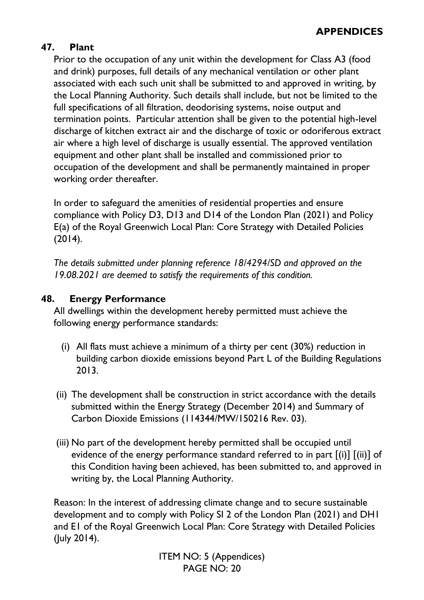# **47. Plant**

Prior to the occupation of any unit within the development for Class A3 (food and drink) purposes, full details of any mechanical ventilation or other plant associated with each such unit shall be submitted to and approved in writing, by the Local Planning Authority. Such details shall include, but not be limited to the full specifications of all filtration, deodorising systems, noise output and termination points. Particular attention shall be given to the potential high-level discharge of kitchen extract air and the discharge of toxic or odoriferous extract air where a high level of discharge is usually essential. The approved ventilation equipment and other plant shall be installed and commissioned prior to occupation of the development and shall be permanently maintained in proper working order thereafter.

In order to safeguard the amenities of residential properties and ensure compliance with Policy D3, D13 and D14 of the London Plan (2021) and Policy E(a) of the Royal Greenwich Local Plan: Core Strategy with Detailed Policies (2014).

*The details submitted under planning reference 18/4294/SD and approved on the 19.08.2021 are deemed to satisfy the requirements of this condition.* 

# **48. Energy Performance**

All dwellings within the development hereby permitted must achieve the following energy performance standards:

- (i) All flats must achieve a minimum of a thirty per cent (30%) reduction in building carbon dioxide emissions beyond Part L of the Building Regulations 2013.
- (ii) The development shall be construction in strict accordance with the details submitted within the Energy Strategy (December 2014) and Summary of Carbon Dioxide Emissions (114344/MW/150216 Rev. 03).
- (iii) No part of the development hereby permitted shall be occupied until evidence of the energy performance standard referred to in part  $[(i)]$   $[(ii)]$  of this Condition having been achieved, has been submitted to, and approved in writing by, the Local Planning Authority.

Reason: In the interest of addressing climate change and to secure sustainable development and to comply with Policy SI 2 of the London Plan (2021) and DH1 and E1 of the Royal Greenwich Local Plan: Core Strategy with Detailed Policies (July 2014).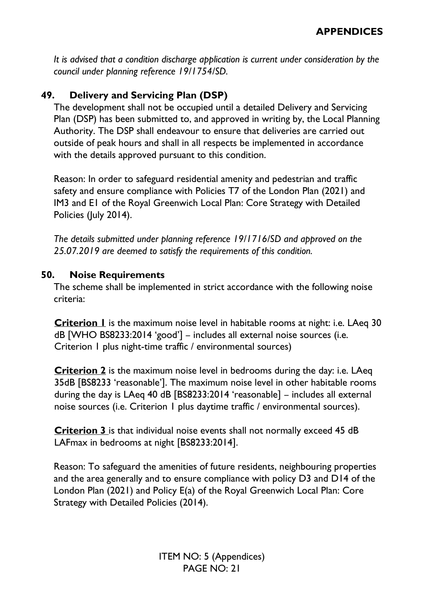*It is advised that a condition discharge application is current under consideration by the council under planning reference 19/1754/SD.* 

# **49. Delivery and Servicing Plan (DSP)**

The development shall not be occupied until a detailed Delivery and Servicing Plan (DSP) has been submitted to, and approved in writing by, the Local Planning Authority. The DSP shall endeavour to ensure that deliveries are carried out outside of peak hours and shall in all respects be implemented in accordance with the details approved pursuant to this condition.

Reason: In order to safeguard residential amenity and pedestrian and traffic safety and ensure compliance with Policies T7 of the London Plan (2021) and IM3 and E1 of the Royal Greenwich Local Plan: Core Strategy with Detailed Policies (July 2014).

*The details submitted under planning reference 19/1716/SD and approved on the 25.07.2019 are deemed to satisfy the requirements of this condition.* 

#### **50. Noise Requirements**

The scheme shall be implemented in strict accordance with the following noise criteria:

**Criterion 1** is the maximum noise level in habitable rooms at night: i.e. LAeq 30 dB [WHO BS8233:2014 'good'] – includes all external noise sources (i.e. Criterion 1 plus night-time traffic / environmental sources)

**Criterion 2** is the maximum noise level in bedrooms during the day: i.e. LAeq 35dB [BS8233 'reasonable']. The maximum noise level in other habitable rooms during the day is LAeq 40 dB [BS8233:2014 'reasonable] – includes all external noise sources (i.e. Criterion 1 plus daytime traffic / environmental sources).

**Criterion 3** is that individual noise events shall not normally exceed 45 dB LAFmax in bedrooms at night [BS8233:2014].

Reason: To safeguard the amenities of future residents, neighbouring properties and the area generally and to ensure compliance with policy D3 and D14 of the London Plan (2021) and Policy E(a) of the Royal Greenwich Local Plan: Core Strategy with Detailed Policies (2014).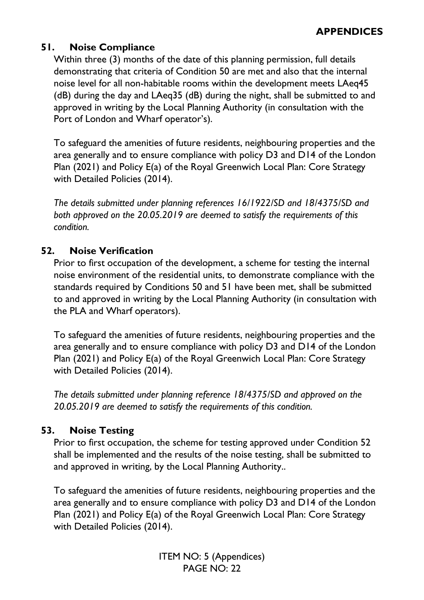# **51. Noise Compliance**

Within three (3) months of the date of this planning permission, full details demonstrating that criteria of Condition 50 are met and also that the internal noise level for all non-habitable rooms within the development meets LAeq45 (dB) during the day and LAeq35 (dB) during the night, shall be submitted to and approved in writing by the Local Planning Authority (in consultation with the Port of London and Wharf operator's).

To safeguard the amenities of future residents, neighbouring properties and the area generally and to ensure compliance with policy D3 and D14 of the London Plan (2021) and Policy E(a) of the Royal Greenwich Local Plan: Core Strategy with Detailed Policies (2014).

*The details submitted under planning references 16/1922/SD and 18/4375/SD and both approved on the 20.05.2019 are deemed to satisfy the requirements of this condition.* 

# **52. Noise Verification**

Prior to first occupation of the development, a scheme for testing the internal noise environment of the residential units, to demonstrate compliance with the standards required by Conditions 50 and 51 have been met, shall be submitted to and approved in writing by the Local Planning Authority (in consultation with the PLA and Wharf operators).

To safeguard the amenities of future residents, neighbouring properties and the area generally and to ensure compliance with policy D3 and D14 of the London Plan (2021) and Policy E(a) of the Royal Greenwich Local Plan: Core Strategy with Detailed Policies (2014).

*The details submitted under planning reference 18/4375/SD and approved on the 20.05.2019 are deemed to satisfy the requirements of this condition.* 

# **53. Noise Testing**

Prior to first occupation, the scheme for testing approved under Condition 52 shall be implemented and the results of the noise testing, shall be submitted to and approved in writing, by the Local Planning Authority..

To safeguard the amenities of future residents, neighbouring properties and the area generally and to ensure compliance with policy D3 and D14 of the London Plan (2021) and Policy E(a) of the Royal Greenwich Local Plan: Core Strategy with Detailed Policies (2014).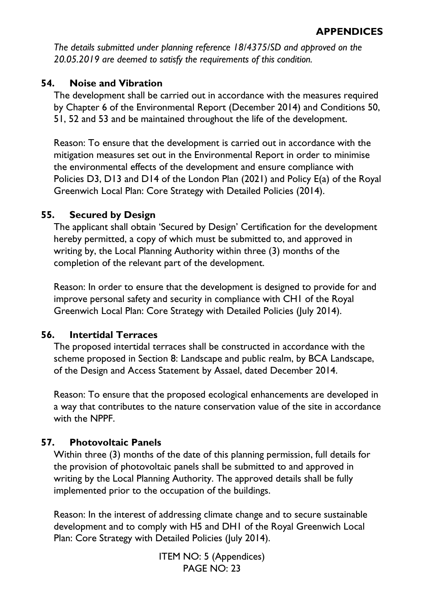*The details submitted under planning reference 18/4375/SD and approved on the 20.05.2019 are deemed to satisfy the requirements of this condition.* 

# **54. Noise and Vibration**

The development shall be carried out in accordance with the measures required by Chapter 6 of the Environmental Report (December 2014) and Conditions 50, 51, 52 and 53 and be maintained throughout the life of the development.

Reason: To ensure that the development is carried out in accordance with the mitigation measures set out in the Environmental Report in order to minimise the environmental effects of the development and ensure compliance with Policies D3, D13 and D14 of the London Plan (2021) and Policy E(a) of the Royal Greenwich Local Plan: Core Strategy with Detailed Policies (2014).

# **55. Secured by Design**

The applicant shall obtain 'Secured by Design' Certification for the development hereby permitted, a copy of which must be submitted to, and approved in writing by, the Local Planning Authority within three (3) months of the completion of the relevant part of the development.

Reason: In order to ensure that the development is designed to provide for and improve personal safety and security in compliance with CH1 of the Royal Greenwich Local Plan: Core Strategy with Detailed Policies (July 2014).

# **56. Intertidal Terraces**

The proposed intertidal terraces shall be constructed in accordance with the scheme proposed in Section 8: Landscape and public realm, by BCA Landscape, of the Design and Access Statement by Assael, dated December 2014.

Reason: To ensure that the proposed ecological enhancements are developed in a way that contributes to the nature conservation value of the site in accordance with the NPPF.

# **57. Photovoltaic Panels**

Within three (3) months of the date of this planning permission, full details for the provision of photovoltaic panels shall be submitted to and approved in writing by the Local Planning Authority. The approved details shall be fully implemented prior to the occupation of the buildings.

Reason: In the interest of addressing climate change and to secure sustainable development and to comply with H5 and DH1 of the Royal Greenwich Local Plan: Core Strategy with Detailed Policies (July 2014).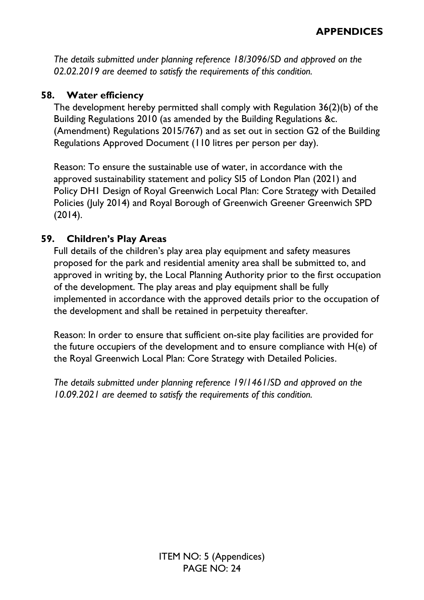*The details submitted under planning reference 18/3096/SD and approved on the 02.02.2019 are deemed to satisfy the requirements of this condition.* 

# **58. Water efficiency**

The development hereby permitted shall comply with Regulation 36(2)(b) of the Building Regulations 2010 (as amended by the Building Regulations &c. (Amendment) Regulations 2015/767) and as set out in section G2 of the Building Regulations Approved Document (110 litres per person per day).

Reason: To ensure the sustainable use of water, in accordance with the approved sustainability statement and policy SI5 of London Plan (2021) and Policy DH1 Design of Royal Greenwich Local Plan: Core Strategy with Detailed Policies (July 2014) and Royal Borough of Greenwich Greener Greenwich SPD (2014).

# **59. Children's Play Areas**

Full details of the children's play area play equipment and safety measures proposed for the park and residential amenity area shall be submitted to, and approved in writing by, the Local Planning Authority prior to the first occupation of the development. The play areas and play equipment shall be fully implemented in accordance with the approved details prior to the occupation of the development and shall be retained in perpetuity thereafter.

Reason: In order to ensure that sufficient on-site play facilities are provided for the future occupiers of the development and to ensure compliance with H(e) of the Royal Greenwich Local Plan: Core Strategy with Detailed Policies.

*The details submitted under planning reference 19/1461/SD and approved on the 10.09.2021 are deemed to satisfy the requirements of this condition.*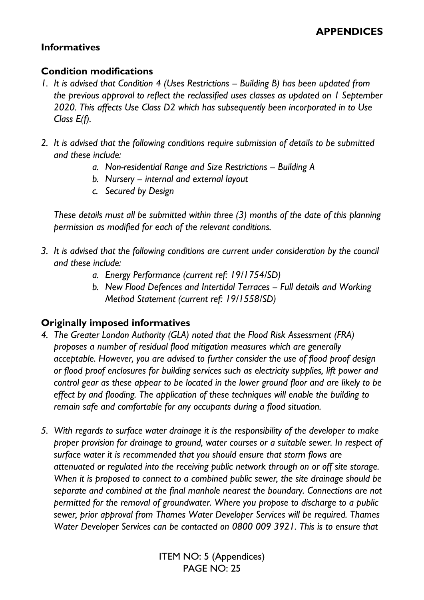# **Informatives**

#### **Condition modifications**

- 1. It is advised that Condition 4 (Uses Restrictions Building B) has been updated from *the previous approval to reflect the reclassified uses classes as updated on 1 September 2020. This affects Use Class D2 which has subsequently been incorporated in to Use Class E(f).*
- *2. It is advised that the following conditions require submission of details to be submitted and these include:* 
	- *a. Non-residential Range and Size Restrictions – Building A*
	- *b. Nursery – internal and external layout*
	- *c. Secured by Design*

*These details must all be submitted within three (3) months of the date of this planning permission as modified for each of the relevant conditions.* 

- *3. It is advised that the following conditions are current under consideration by the council and these include:* 
	- *a. Energy Performance (current ref: 19/1754/SD)*
	- *b. New Flood Defences and Intertidal Terraces – Full details and Working Method Statement (current ref: 19/1558/SD)*

# **Originally imposed informatives**

- *4. The Greater London Authority (GLA) noted that the Flood Risk Assessment (FRA) proposes a number of residual flood mitigation measures which are generally acceptable. However, you are advised to further consider the use of flood proof design or flood proof enclosures for building services such as electricity supplies, lift power and control gear as these appear to be located in the lower ground floor and are likely to be effect by and flooding. The application of these techniques will enable the building to remain safe and comfortable for any occupants during a flood situation.*
- *5. With regards to surface water drainage it is the responsibility of the developer to make proper provision for drainage to ground, water courses or a suitable sewer. In respect of surface water it is recommended that you should ensure that storm flows are attenuated or regulated into the receiving public network through on or off site storage. When it is proposed to connect to a combined public sewer, the site drainage should be separate and combined at the final manhole nearest the boundary. Connections are not permitted for the removal of groundwater. Where you propose to discharge to a public sewer, prior approval from Thames Water Developer Services will be required. Thames Water Developer Services can be contacted on 0800 009 3921. This is to ensure that*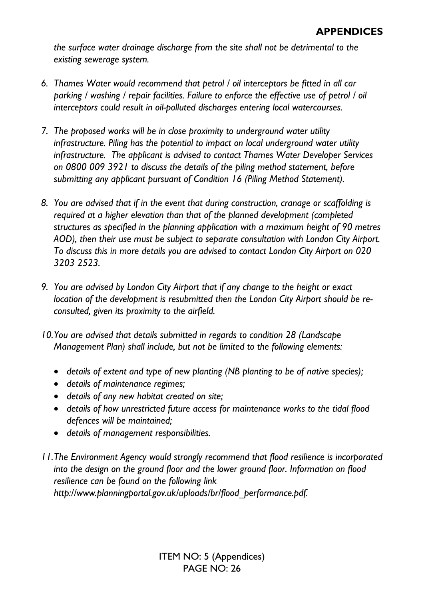*the surface water drainage discharge from the site shall not be detrimental to the existing sewerage system.* 

- *6. Thames Water would recommend that petrol / oil interceptors be fitted in all car parking / washing / repair facilities. Failure to enforce the effective use of petrol / oil interceptors could result in oil-polluted discharges entering local watercourses.*
- *7. The proposed works will be in close proximity to underground water utility infrastructure. Piling has the potential to impact on local underground water utility infrastructure. The applicant is advised to contact Thames Water Developer Services on 0800 009 3921 to discuss the details of the piling method statement, before submitting any applicant pursuant of Condition 16 (Piling Method Statement).*
- *8. You are advised that if in the event that during construction, cranage or scaffolding is required at a higher elevation than that of the planned development (completed structures as specified in the planning application with a maximum height of 90 metres AOD), then their use must be subject to separate consultation with London City Airport. To discuss this in more details you are advised to contact London City Airport on 020 3203 2523.*
- *9. You are advised by London City Airport that if any change to the height or exact location of the development is resubmitted then the London City Airport should be reconsulted, given its proximity to the airfield.*
- *10.You are advised that details submitted in regards to condition 28 (Landscape Management Plan) shall include, but not be limited to the following elements:* 
	- *details of extent and type of new planting (NB planting to be of native species);*
	- *details of maintenance regimes;*
	- *details of any new habitat created on site;*
	- *details of how unrestricted future access for maintenance works to the tidal flood defences will be maintained;*
	- *details of management responsibilities.*
- *11.The Environment Agency would strongly recommend that flood resilience is incorporated into the design on the ground floor and the lower ground floor. Information on flood resilience can be found on the following link*

*http://www.planningportal.gov.uk/uploads/br/flood\_performance.pdf.*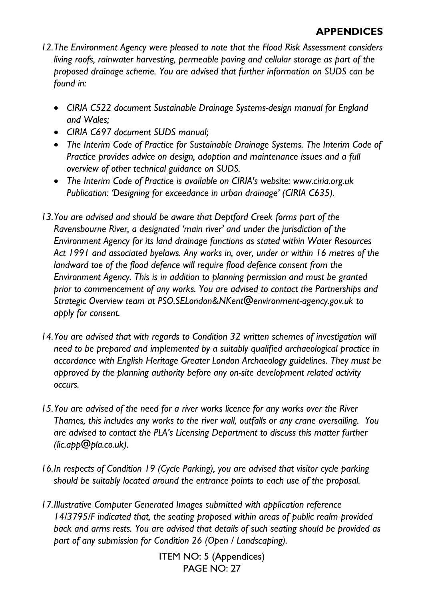- *12.The Environment Agency were pleased to note that the Flood Risk Assessment considers living roofs, rainwater harvesting, permeable paving and cellular storage as part of the proposed drainage scheme. You are advised that further information on SUDS can be found in:* 
	- *CIRIA C522 document Sustainable Drainage Systems-design manual for England and Wales;*
	- *CIRIA C697 document SUDS manual;*
	- *The Interim Code of Practice for Sustainable Drainage Systems. The Interim Code of Practice provides advice on design, adoption and maintenance issues and a full overview of other technical guidance on SUDS.*
	- *The Interim Code of Practice is available on CIRIA's website: www.ciria.org.uk Publication: 'Designing for exceedance in urban drainage' (CIRIA C635).*
- *13.You are advised and should be aware that Deptford Creek forms part of the Ravensbourne River, a designated 'main river' and under the jurisdiction of the Environment Agency for its land drainage functions as stated within Water Resources Act 1991 and associated byelaws. Any works in, over, under or within 16 metres of the landward toe of the flood defence will require flood defence consent from the Environment Agency. This is in addition to planning permission and must be granted prior to commencement of any works. You are advised to contact the Partnerships and Strategic Overview team at PSO.SELondon&NKent@environment-agency.gov.uk to apply for consent.*
- *14.You are advised that with regards to Condition 32 written schemes of investigation will need to be prepared and implemented by a suitably qualified archaeological practice in accordance with English Heritage Greater London Archaeology guidelines. They must be approved by the planning authority before any on-site development related activity occurs.*
- *15.You are advised of the need for a river works licence for any works over the River Thames, this includes any works to the river wall, outfalls or any crane oversailing. You are advised to contact the PLA's Licensing Department to discuss this matter further (lic.app@pla.co.uk).*
- *16.In respects of Condition 19 (Cycle Parking), you are advised that visitor cycle parking should be suitably located around the entrance points to each use of the proposal.*
- *17.Illustrative Computer Generated Images submitted with application reference 14/3795/F indicated that, the seating proposed within areas of public realm provided back and arms rests. You are advised that details of such seating should be provided as part of any submission for Condition 26 (Open / Landscaping).*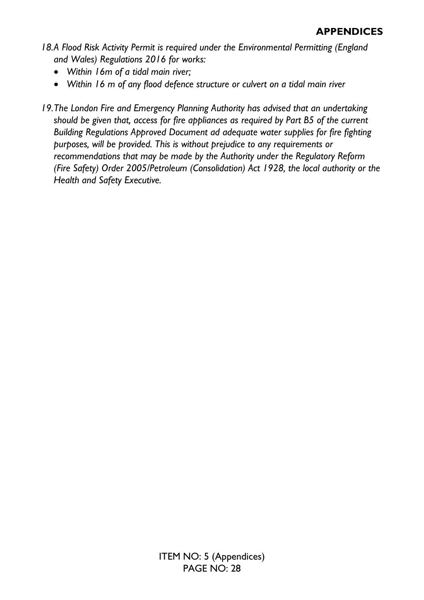- *18.A Flood Risk Activity Permit is required under the Environmental Permitting (England and Wales) Regulations 2016 for works:* 
	- *Within 16m of a tidal main river;*
	- *Within 16 m of any flood defence structure or culvert on a tidal main river*
- *19.The London Fire and Emergency Planning Authority has advised that an undertaking should be given that, access for fire appliances as required by Part B5 of the current Building Regulations Approved Document ad adequate water supplies for fire fighting purposes, will be provided. This is without prejudice to any requirements or recommendations that may be made by the Authority under the Regulatory Reform (Fire Safety) Order 2005/Petroleum (Consolidation) Act 1928, the local authority or the Health and Safety Executive.*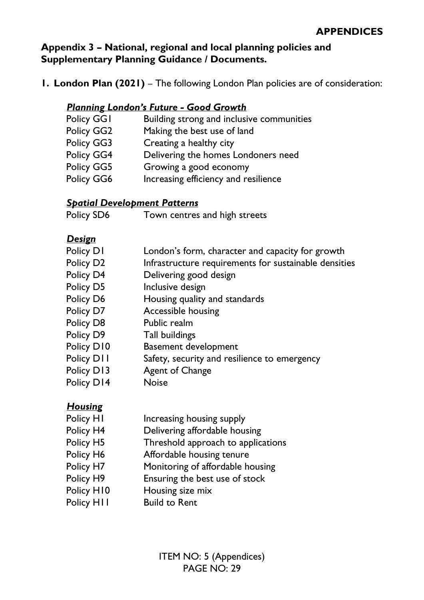**Appendix 3 – National, regional and local planning policies and Supplementary Planning Guidance / Documents.** 

**1. London Plan (2021)** – The following London Plan policies are of consideration:

### *Planning London's Future - Good Growth*

- Policy GG1 Building strong and inclusive communities
- Policy GG2 Making the best use of land
- Policy GG3 Creating a healthy city
- Policy GG4 Delivering the homes Londoners need
- Policy GG5 Growing a good economy
- Policy GG6 Increasing efficiency and resilience

# *Spatial Development Patterns*

Policy SD6 Town centres and high streets

# *Design*

| Policy D1             | London's form, character and capacity for growth      |
|-----------------------|-------------------------------------------------------|
| Policy D <sub>2</sub> | Infrastructure requirements for sustainable densities |
| Policy D4             | Delivering good design                                |
| Policy D5             | Inclusive design                                      |
| Policy D6             | Housing quality and standards                         |
| Policy D7             | Accessible housing                                    |
| Policy D8             | Public realm                                          |
| Policy D9             | Tall buildings                                        |
| Policy D10            | <b>Basement development</b>                           |
| Policy D11            | Safety, security and resilience to emergency          |
| Policy D13            | <b>Agent of Change</b>                                |
| Policy D14            | <b>Noise</b>                                          |

# *Housing*

| Policy HI  | Increasing housing supply          |
|------------|------------------------------------|
| Policy H4  | Delivering affordable housing      |
| Policy H5  | Threshold approach to applications |
| Policy H6  | Affordable housing tenure          |
| Policy H7  | Monitoring of affordable housing   |
| Policy H9  | Ensuring the best use of stock     |
| Policy H10 | Housing size mix                   |
| Policy HII | <b>Build to Rent</b>               |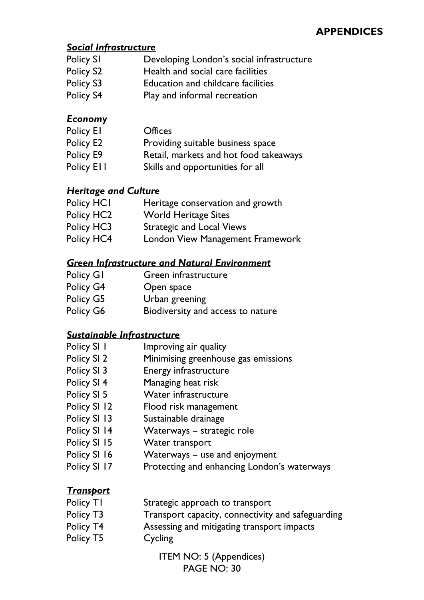#### *Social Infrastructure*

- Policy S1 Developing London's social infrastructure
- Policy S2 Health and social care facilities
- Policy S3 Education and childcare facilities
- Policy S4 Play and informal recreation

# *Economy*

| Policy El  | <b>Offices</b>                         |
|------------|----------------------------------------|
| Policy E2  | Providing suitable business space      |
| Policy E9  | Retail, markets and hot food takeaways |
| Policy Ell | Skills and opportunities for all       |

#### *Heritage and Culture*

| Policy HCI     | Heritage conservation and growth |
|----------------|----------------------------------|
| <b>BU BURA</b> |                                  |

- Policy HC2 World Heritage Sites
- Policy HC3 Strategic and Local Views
- Policy HC4 London View Management Framework

#### *Green Infrastructure and Natural Environment*

- Policy G1 Green infrastructure
- Policy G4 Open space
- Policy G5 Urban greening
- Policy G6 Biodiversity and access to nature

# *Sustainable Infrastructure*

- Policy SI 1 Improving air quality
- Policy SI 2 Minimising greenhouse gas emissions
- Policy SI 3 Energy infrastructure
- Policy SI 4 Managing heat risk
- Policy SI 5 Water infrastructure
- Policy SI 12 Flood risk management
- Policy SI 13 Sustainable drainage
- Policy SI 14 Waterways strategic role
- Policy SI 15 Water transport
- Policy SI 16 Waterways use and enjoyment
- Policy SI 17 Protecting and enhancing London's waterways

# *Transport*

| Policy T1 | Strategic approach to transport                   |
|-----------|---------------------------------------------------|
| Policy T3 | Transport capacity, connectivity and safeguarding |
| Policy T4 | Assessing and mitigating transport impacts        |
| Policy T5 | Cycling                                           |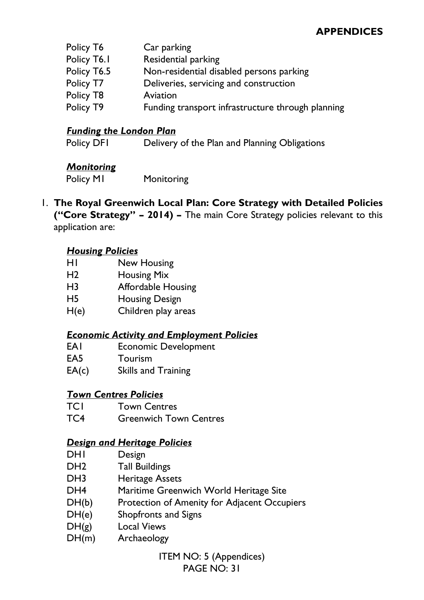| Car parking                                       |
|---------------------------------------------------|
| Residential parking                               |
| Non-residential disabled persons parking          |
| Deliveries, servicing and construction            |
| Aviation                                          |
| Funding transport infrastructure through planning |
|                                                   |

#### *Funding the London Plan*

Policy DFI Delivery of the Plan and Planning Obligations

#### *Monitoring*

Policy M1 Monitoring

#### 1. **The Royal Greenwich Local Plan: Core Strategy with Detailed Policies ("Core Strategy" – 2014) –** The main Core Strategy policies relevant to this application are:

#### *Housing Policies*

- H1 New Housing
- H2 Housing Mix
- H3 Affordable Housing
- H5 Housing Design
- H(e) Children play areas

#### *Economic Activity and Employment Policies*

- EA1 Economic Development
- EA5 Tourism
- EA(c) Skills and Training

#### *Town Centres Policies*

- TC1 Town Centres
- TC4 Greenwich Town Centres

#### *Design and Heritage Policies*

- DH<sub>1</sub> Design
- DH2 Tall Buildings
- DH3 Heritage Assets
- DH4 Maritime Greenwich World Heritage Site
- DH(b) Protection of Amenity for Adjacent Occupiers
- DH(e) Shopfronts and Signs
- DH(g) Local Views
- DH(m) Archaeology